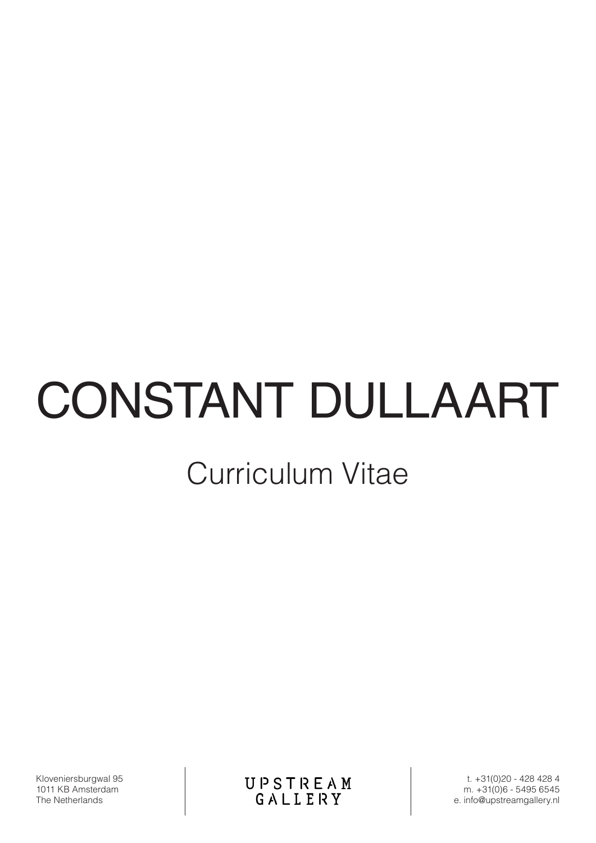# CONSTANT DULLAART

# Curriculum Vitae

Kloveniersburgwal 95 1011 KB Amsterdam The Netherlands

**UPSTREAM**<br>GALLERY

t. +31(0)20 - 428 428 4 m. +31(0)6 - 5495 6545 e. info@upstreamgallery.nl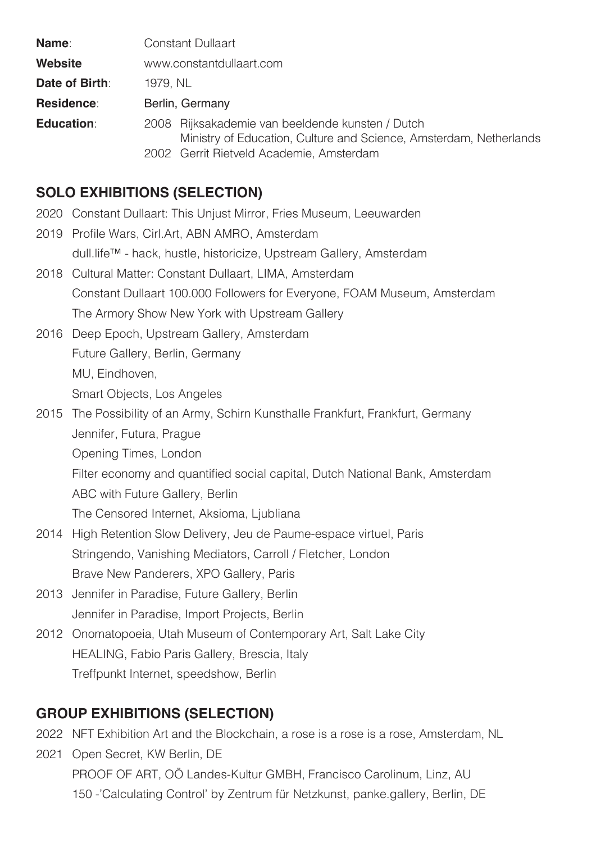| Name:             | <b>Constant Dullaart</b>                                                                                                                                           |
|-------------------|--------------------------------------------------------------------------------------------------------------------------------------------------------------------|
| Website           | www.constantdullaart.com                                                                                                                                           |
| Date of Birth:    | 1979, NL                                                                                                                                                           |
| <b>Residence:</b> | Berlin, Germany                                                                                                                                                    |
| <b>Education:</b> | 2008 Rijksakademie van beeldende kunsten / Dutch<br>Ministry of Education, Culture and Science, Amsterdam, Netherlands<br>2002 Gerrit Rietveld Academie, Amsterdam |

# **SOLO EXHIBITIONS (SELECTION)**

- 2020 Constant Dullaart: This Unjust Mirror, Fries Museum, Leeuwarden
- 2019 Profile Wars, Cirl.Art, ABN AMRO, Amsterdam dull.life™ - hack, hustle, historicize, Upstream Gallery, Amsterdam
- 2018 Cultural Matter: Constant Dullaart, LIMA, Amsterdam Constant Dullaart 100.000 Followers for Everyone, FOAM Museum, Amsterdam The Armory Show New York with Upstream Gallery
- 2016 Deep Epoch, Upstream Gallery, Amsterdam Future Gallery, Berlin, Germany MU, Eindhoven, Smart Objects, Los Angeles
- 2015 The Possibility of an Army, Schirn Kunsthalle Frankfurt, Frankfurt, Germany Jennifer, Futura, Prague Opening Times, London Filter economy and quantified social capital, Dutch National Bank, Amsterdam ABC with Future Gallery, Berlin The Censored Internet, Aksioma, Ljubliana
- 2014 High Retention Slow Delivery, Jeu de Paume-espace virtuel, Paris Stringendo, Vanishing Mediators, Carroll / Fletcher, London Brave New Panderers, XPO Gallery, Paris
- 2013 Jennifer in Paradise, Future Gallery, Berlin Jennifer in Paradise, Import Projects, Berlin
- 2012 Onomatopoeia, Utah Museum of Contemporary Art, Salt Lake City HEALING, Fabio Paris Gallery, Brescia, Italy Treffpunkt Internet, speedshow, Berlin

# **GROUP EXHIBITIONS (SELECTION)**

- 2022 NFT Exhibition Art and the Blockchain, a rose is a rose is a rose, Amsterdam, NL
- 2021 Open Secret, KW Berlin, DE PROOF OF ART, OÖ Landes-Kultur GMBH, Francisco Carolinum, Linz, AU 150 -'Calculating Control' by Zentrum für Netzkunst, panke.gallery, Berlin, DE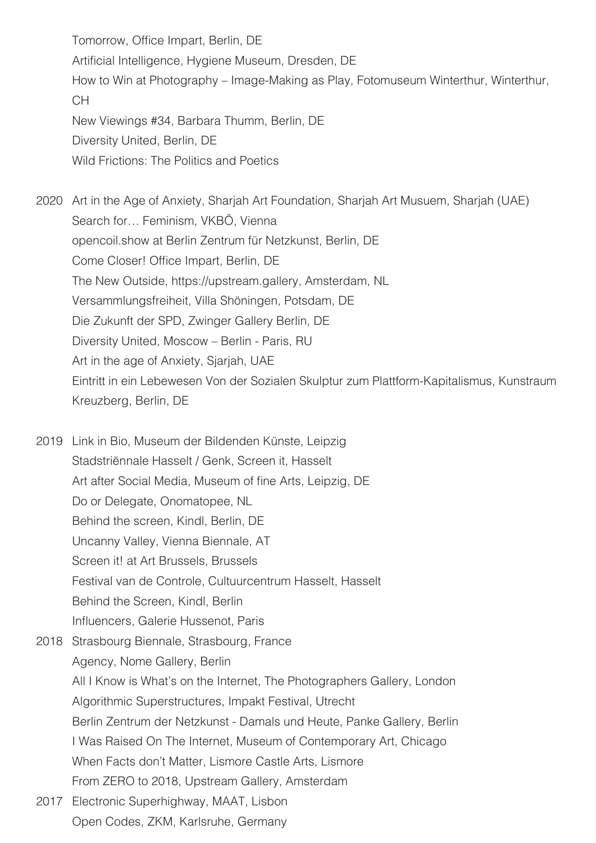Tomorrow, Office Impart, Berlin, DE Artificial Intelligence, Hygiene Museum, Dresden, DE How to Win at Photography – Image-Making as Play, Fotomuseum Winterthur, Winterthur, CH New Viewings #34, Barbara Thumm, Berlin, DE Diversity United, Berlin, DE Wild Frictions: The Politics and Poetics

2020 Art in the Age of Anxiety, Sharjah Art Foundation, Sharjah Art Musuem, Sharjah (UAE) Search for… Feminism, VKBÖ, Vienna opencoil.show at Berlin Zentrum für Netzkunst, Berlin, DE Come Closer! Office Impart, Berlin, DE The New Outside, https://upstream.gallery, Amsterdam, NL Versammlungsfreiheit, Villa Shöningen, Potsdam, DE Die Zukunft der SPD, Zwinger Gallery Berlin, DE Diversity United, Moscow – Berlin - Paris, RU Art in the age of Anxiety, Sjarjah, UAE Eintritt in ein Lebewesen Von der Sozialen Skulptur zum Plattform-Kapitalismus, Kunstraum Kreuzberg, Berlin, DE

2019 Link in Bio, Museum der Bildenden Künste, Leipzig Stadstriënnale Hasselt / Genk, Screen it, Hasselt Art after Social Media, Museum of fine Arts, Leipzig, DE Do or Delegate, Onomatopee, NL Behind the screen, Kindl, Berlin, DE Uncanny Valley, Vienna Biennale, AT Screen it! at Art Brussels, Brussels Festival van de Controle, Cultuurcentrum Hasselt, Hasselt Behind the Screen, Kindl, Berlin Influencers, Galerie Hussenot, Paris

- 2018 Strasbourg Biennale, Strasbourg, France Agency, Nome Gallery, Berlin All I Know is What's on the Internet, The Photographers Gallery, London Algorithmic Superstructures, Impakt Festival, Utrecht Berlin Zentrum der Netzkunst - Damals und Heute, Panke Gallery, Berlin I Was Raised On The Internet, Museum of Contemporary Art, Chicago When Facts don't Matter, Lismore Castle Arts, Lismore From ZERO to 2018, Upstream Gallery, Amsterdam
- 2017 Electronic Superhighway, MAAT, Lisbon Open Codes, ZKM, Karlsruhe, Germany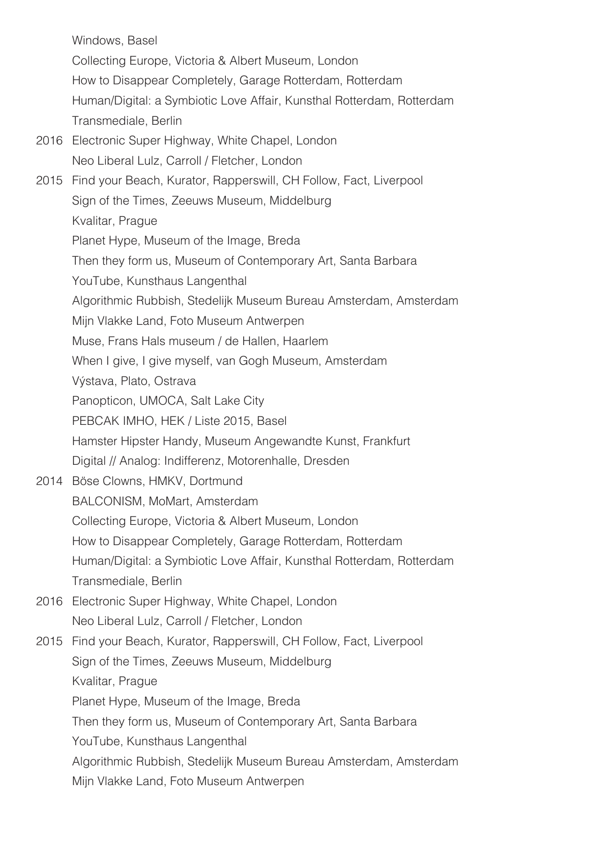Windows, Basel Collecting Europe, Victoria & Albert Museum, London How to Disappear Completely, Garage Rotterdam, Rotterdam Human/Digital: a Symbiotic Love Affair, Kunsthal Rotterdam, Rotterdam Transmediale, Berlin 2016 Electronic Super Highway, White Chapel, London Neo Liberal Lulz, Carroll / Fletcher, London 2015 Find your Beach, Kurator, Rapperswill, CH Follow, Fact, Liverpool Sign of the Times, Zeeuws Museum, Middelburg Kvalitar, Prague Planet Hype, Museum of the Image, Breda Then they form us, Museum of Contemporary Art, Santa Barbara YouTube, Kunsthaus Langenthal Algorithmic Rubbish, Stedelijk Museum Bureau Amsterdam, Amsterdam Mijn Vlakke Land, Foto Museum Antwerpen Muse, Frans Hals museum / de Hallen, Haarlem When I give, I give myself, van Gogh Museum, Amsterdam Výstava, Plato, Ostrava Panopticon, UMOCA, Salt Lake City PEBCAK IMHO, HEK / Liste 2015, Basel Hamster Hipster Handy, Museum Angewandte Kunst, Frankfurt Digital // Analog: Indifferenz, Motorenhalle, Dresden 2014 Böse Clowns, HMKV, Dortmund BALCONISM, MoMart, Amsterdam Collecting Europe, Victoria & Albert Museum, London How to Disappear Completely, Garage Rotterdam, Rotterdam Human/Digital: a Symbiotic Love Affair, Kunsthal Rotterdam, Rotterdam Transmediale, Berlin 2016 Electronic Super Highway, White Chapel, London Neo Liberal Lulz, Carroll / Fletcher, London 2015 Find your Beach, Kurator, Rapperswill, CH Follow, Fact, Liverpool Sign of the Times, Zeeuws Museum, Middelburg Kvalitar, Prague Planet Hype, Museum of the Image, Breda Then they form us, Museum of Contemporary Art, Santa Barbara YouTube, Kunsthaus Langenthal Algorithmic Rubbish, Stedelijk Museum Bureau Amsterdam, Amsterdam Mijn Vlakke Land, Foto Museum Antwerpen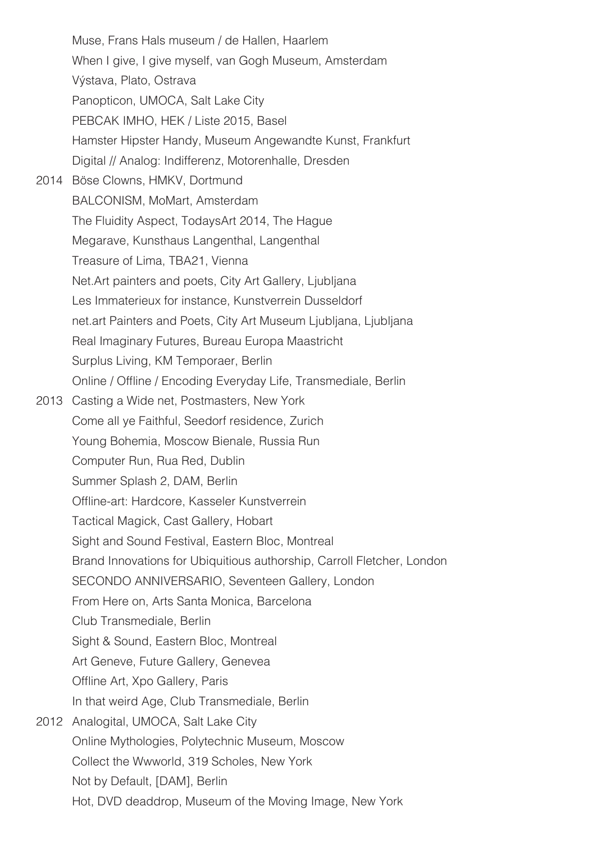Muse, Frans Hals museum / de Hallen, Haarlem When I give, I give myself, van Gogh Museum, Amsterdam Výstava, Plato, Ostrava Panopticon, UMOCA, Salt Lake City PEBCAK IMHO, HEK / Liste 2015, Basel Hamster Hipster Handy, Museum Angewandte Kunst, Frankfurt Digital // Analog: Indifferenz, Motorenhalle, Dresden 2014 Böse Clowns, HMKV, Dortmund BALCONISM, MoMart, Amsterdam The Fluidity Aspect, TodaysArt 2014, The Hague Megarave, Kunsthaus Langenthal, Langenthal Treasure of Lima, TBA21, Vienna Net.Art painters and poets, City Art Gallery, Ljubljana Les Immaterieux for instance, Kunstverrein Dusseldorf net.art Painters and Poets, City Art Museum Ljubljana, Ljubljana Real Imaginary Futures, Bureau Europa Maastricht Surplus Living, KM Temporaer, Berlin Online / Offline / Encoding Everyday Life, Transmediale, Berlin 2013 Casting a Wide net, Postmasters, New York Come all ye Faithful, Seedorf residence, Zurich Young Bohemia, Moscow Bienale, Russia Run Computer Run, Rua Red, Dublin Summer Splash 2, DAM, Berlin Offline-art: Hardcore, Kasseler Kunstverrein Tactical Magick, Cast Gallery, Hobart Sight and Sound Festival, Eastern Bloc, Montreal Brand Innovations for Ubiquitious authorship, Carroll Fletcher, London SECONDO ANNIVERSARIO, Seventeen Gallery, London From Here on, Arts Santa Monica, Barcelona Club Transmediale, Berlin Sight & Sound, Eastern Bloc, Montreal Art Geneve, Future Gallery, Genevea Offline Art, Xpo Gallery, Paris In that weird Age, Club Transmediale, Berlin 2012 Analogital, UMOCA, Salt Lake City Online Mythologies, Polytechnic Museum, Moscow Collect the Wwworld, 319 Scholes, New York Not by Default, [DAM], Berlin Hot, DVD deaddrop, Museum of the Moving Image, New York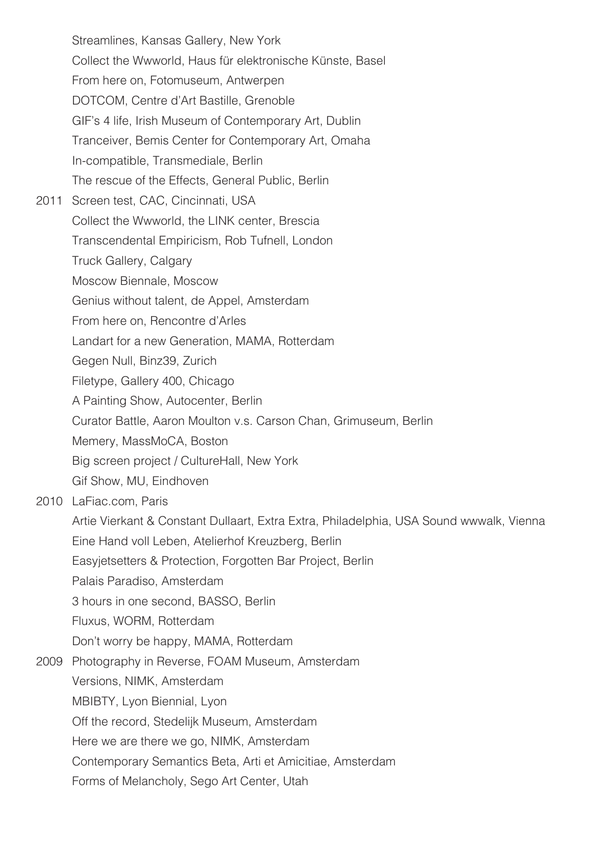Streamlines, Kansas Gallery, New York Collect the Wwworld, Haus für elektronische Künste, Basel From here on, Fotomuseum, Antwerpen DOTCOM, Centre d'Art Bastille, Grenoble GIF's 4 life, Irish Museum of Contemporary Art, Dublin Tranceiver, Bemis Center for Contemporary Art, Omaha In-compatible, Transmediale, Berlin The rescue of the Effects, General Public, Berlin 2011 Screen test, CAC, Cincinnati, USA Collect the Wwworld, the LINK center, Brescia Transcendental Empiricism, Rob Tufnell, London Truck Gallery, Calgary Moscow Biennale, Moscow Genius without talent, de Appel, Amsterdam From here on, Rencontre d'Arles Landart for a new Generation, MAMA, Rotterdam Gegen Null, Binz39, Zurich Filetype, Gallery 400, Chicago A Painting Show, Autocenter, Berlin Curator Battle, Aaron Moulton v.s. Carson Chan, Grimuseum, Berlin Memery, MassMoCA, Boston Big screen project / CultureHall, New York Gif Show, MU, Eindhoven 2010 LaFiac.com, Paris Artie Vierkant & Constant Dullaart, Extra Extra, Philadelphia, USA Sound wwwalk, Vienna Eine Hand voll Leben, Atelierhof Kreuzberg, Berlin Easyjetsetters & Protection, Forgotten Bar Project, Berlin Palais Paradiso, Amsterdam 3 hours in one second, BASSO, Berlin Fluxus, WORM, Rotterdam Don't worry be happy, MAMA, Rotterdam 2009 Photography in Reverse, FOAM Museum, Amsterdam Versions, NIMK, Amsterdam MBIBTY, Lyon Biennial, Lyon Off the record, Stedelijk Museum, Amsterdam Here we are there we go, NIMK, Amsterdam Contemporary Semantics Beta, Arti et Amicitiae, Amsterdam Forms of Melancholy, Sego Art Center, Utah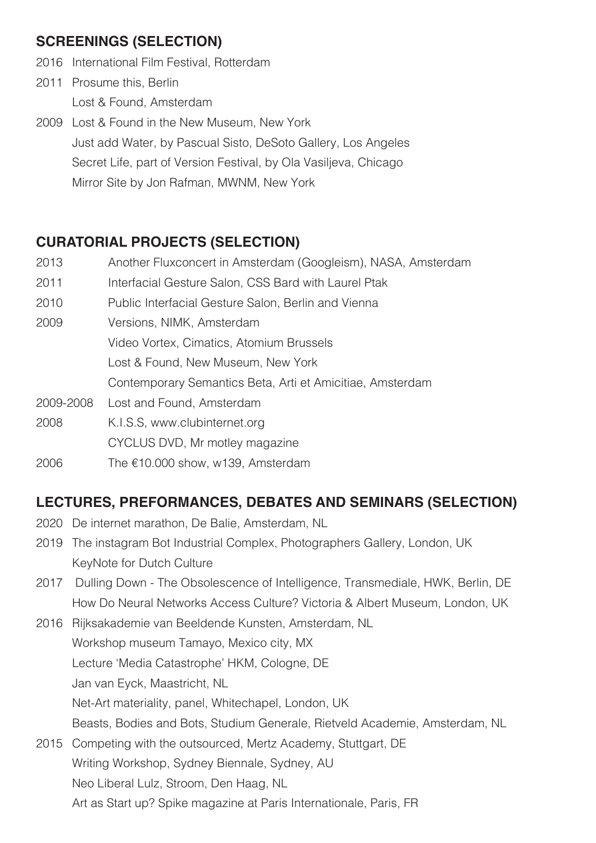## **SCREENINGS (SELECTION)**

- 2016 International Film Festival, Rotterdam
- 2011 Prosume this, Berlin Lost & Found, Amsterdam
- 2009 Lost & Found in the New Museum, New York Just add Water, by Pascual Sisto, DeSoto Gallery, Los Angeles Secret Life, part of Version Festival, by Ola Vasiljeva, Chicago Mirror Site by Jon Rafman, MWNM, New York

# **CURATORIAL PROJECTS (SELECTION)**

- 2013 Another Fluxconcert in Amsterdam (Googleism), NASA, Amsterdam
- 2011 Interfacial Gesture Salon, CSS Bard with Laurel Ptak
- 2010 Public Interfacial Gesture Salon, Berlin and Vienna
- 2009 Versions, NIMK, Amsterdam Video Vortex, Cimatics, Atomium Brussels Lost & Found, New Museum, New York Contemporary Semantics Beta, Arti et Amicitiae, Amsterdam
- 2009-2008 Lost and Found, Amsterdam
- 2008 K.I.S.S, www.clubinternet.org
	- CYCLUS DVD, Mr motley magazine
- 2006 The €10.000 show, w139, Amsterdam

# **LECTURES, PREFORMANCES, DEBATES AND SEMINARS (SELECTION)**

- 2020 De internet marathon, De Balie, Amsterdam, NL
- 2019 The instagram Bot Industrial Complex, Photographers Gallery, London, UK KeyNote for Dutch Culture
- 2017 Dulling Down The Obsolescence of Intelligence, Transmediale, HWK, Berlin, DE How Do Neural Networks Access Culture? Victoria & Albert Museum, London, UK
- 2016 Rijksakademie van Beeldende Kunsten, Amsterdam, NL Workshop museum Tamayo, Mexico city, MX Lecture 'Media Catastrophe' HKM, Cologne, DE Jan van Eyck, Maastricht, NL Net-Art materiality, panel, Whitechapel, London, UK Beasts, Bodies and Bots, Studium Generale, Rietveld Academie, Amsterdam, NL 2015 Competing with the outsourced, Mertz Academy, Stuttgart, DE Writing Workshop, Sydney Biennale, Sydney, AU

Neo Liberal Lulz, Stroom, Den Haag, NL

Art as Start up? Spike magazine at Paris Internationale, Paris, FR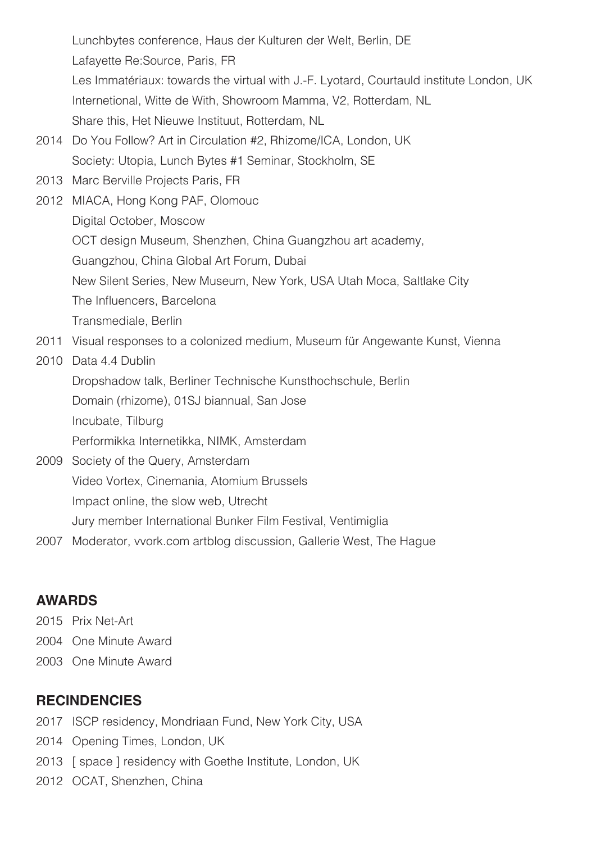Lunchbytes conference, Haus der Kulturen der Welt, Berlin, DE Lafayette Re:Source, Paris, FR Les Immatériaux: towards the virtual with J.-F. Lyotard, Courtauld institute London, UK Internetional, Witte de With, Showroom Mamma, V2, Rotterdam, NL Share this, Het Nieuwe Instituut, Rotterdam, NL

- 2014 Do You Follow? Art in Circulation #2, Rhizome/ICA, London, UK Society: Utopia, Lunch Bytes #1 Seminar, Stockholm, SE
- 2013 Marc Berville Projects Paris, FR
- 2012 MIACA, Hong Kong PAF, Olomouc Digital October, Moscow OCT design Museum, Shenzhen, China Guangzhou art academy, Guangzhou, China Global Art Forum, Dubai New Silent Series, New Museum, New York, USA Utah Moca, Saltlake City The Influencers, Barcelona Transmediale, Berlin
- 2011 Visual responses to a colonized medium, Museum für Angewante Kunst, Vienna
- 2010 Data 4.4 Dublin
	- Dropshadow talk, Berliner Technische Kunsthochschule, Berlin

Domain (rhizome), 01SJ biannual, San Jose

Incubate, Tilburg

Performikka Internetikka, NIMK, Amsterdam

- 2009 Society of the Query, Amsterdam Video Vortex, Cinemania, Atomium Brussels Impact online, the slow web, Utrecht Jury member International Bunker Film Festival, Ventimiglia
- 2007 Moderator, vvork.com artblog discussion, Gallerie West, The Hague

### **AWARDS**

- 2015 Prix Net-Art
- 2004 One Minute Award
- 2003 One Minute Award

#### **RECINDENCIES**

- 2017 ISCP residency, Mondriaan Fund, New York City, USA
- 2014 Opening Times, London, UK
- 2013 [ space ] residency with Goethe Institute, London, UK
- 2012 OCAT, Shenzhen, China